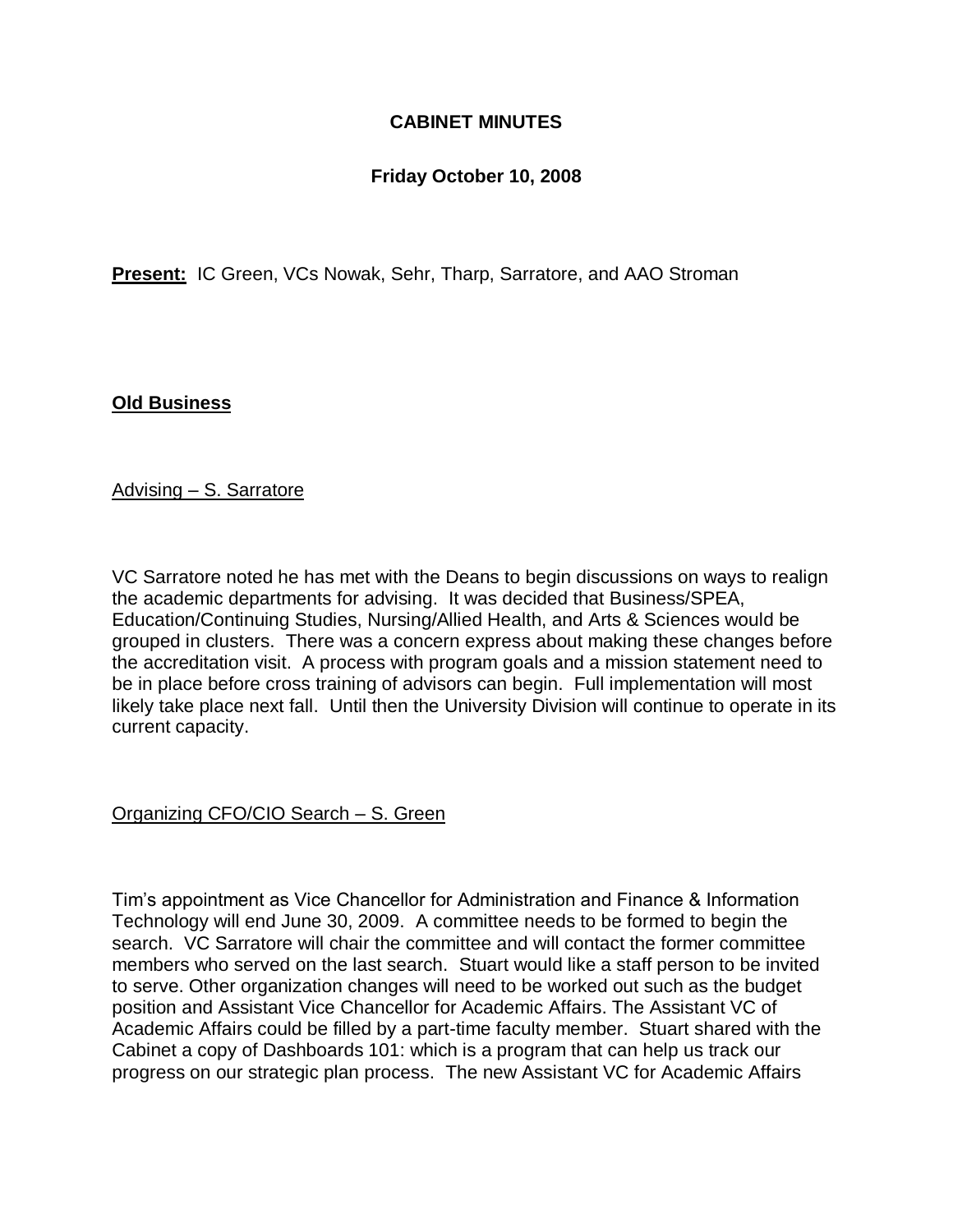## **CABINET MINUTES**

### **Friday October 10, 2008**

**Present:** IC Green, VCs Nowak, Sehr, Tharp, Sarratore, and AAO Stroman

#### **Old Business**

Advising – S. Sarratore

VC Sarratore noted he has met with the Deans to begin discussions on ways to realign the academic departments for advising. It was decided that Business/SPEA, Education/Continuing Studies, Nursing/Allied Health, and Arts & Sciences would be grouped in clusters. There was a concern express about making these changes before the accreditation visit. A process with program goals and a mission statement need to be in place before cross training of advisors can begin. Full implementation will most likely take place next fall. Until then the University Division will continue to operate in its current capacity.

#### Organizing CFO/CIO Search – S. Green

Tim's appointment as Vice Chancellor for Administration and Finance & Information Technology will end June 30, 2009. A committee needs to be formed to begin the search. VC Sarratore will chair the committee and will contact the former committee members who served on the last search. Stuart would like a staff person to be invited to serve. Other organization changes will need to be worked out such as the budget position and Assistant Vice Chancellor for Academic Affairs. The Assistant VC of Academic Affairs could be filled by a part-time faculty member. Stuart shared with the Cabinet a copy of Dashboards 101: which is a program that can help us track our progress on our strategic plan process. The new Assistant VC for Academic Affairs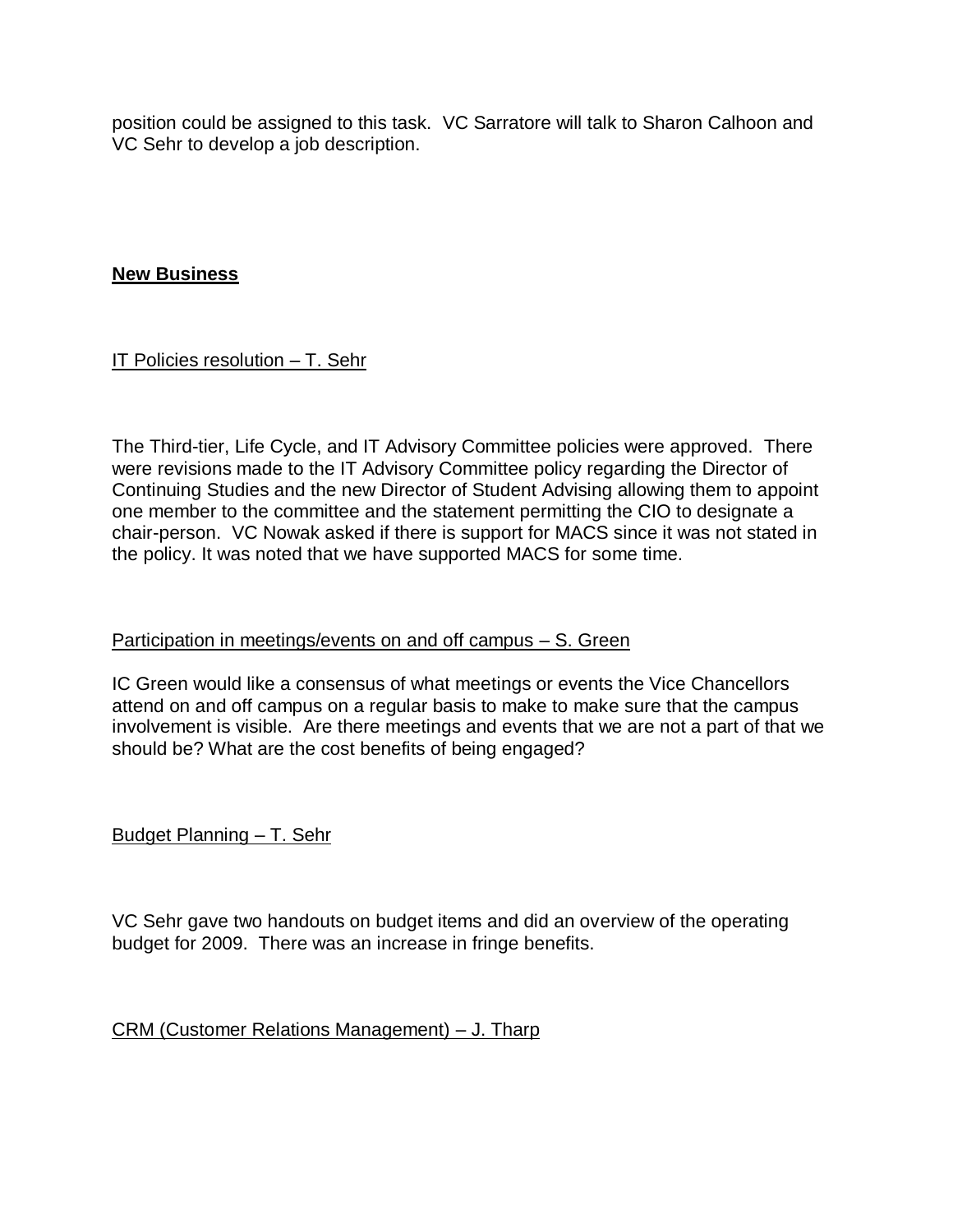position could be assigned to this task. VC Sarratore will talk to Sharon Calhoon and VC Sehr to develop a job description.

### **New Business**

IT Policies resolution – T. Sehr

The Third-tier, Life Cycle, and IT Advisory Committee policies were approved. There were revisions made to the IT Advisory Committee policy regarding the Director of Continuing Studies and the new Director of Student Advising allowing them to appoint one member to the committee and the statement permitting the CIO to designate a chair-person. VC Nowak asked if there is support for MACS since it was not stated in the policy. It was noted that we have supported MACS for some time.

# Participation in meetings/events on and off campus – S. Green

IC Green would like a consensus of what meetings or events the Vice Chancellors attend on and off campus on a regular basis to make to make sure that the campus involvement is visible. Are there meetings and events that we are not a part of that we should be? What are the cost benefits of being engaged?

Budget Planning – T. Sehr

VC Sehr gave two handouts on budget items and did an overview of the operating budget for 2009. There was an increase in fringe benefits.

#### CRM (Customer Relations Management) – J. Tharp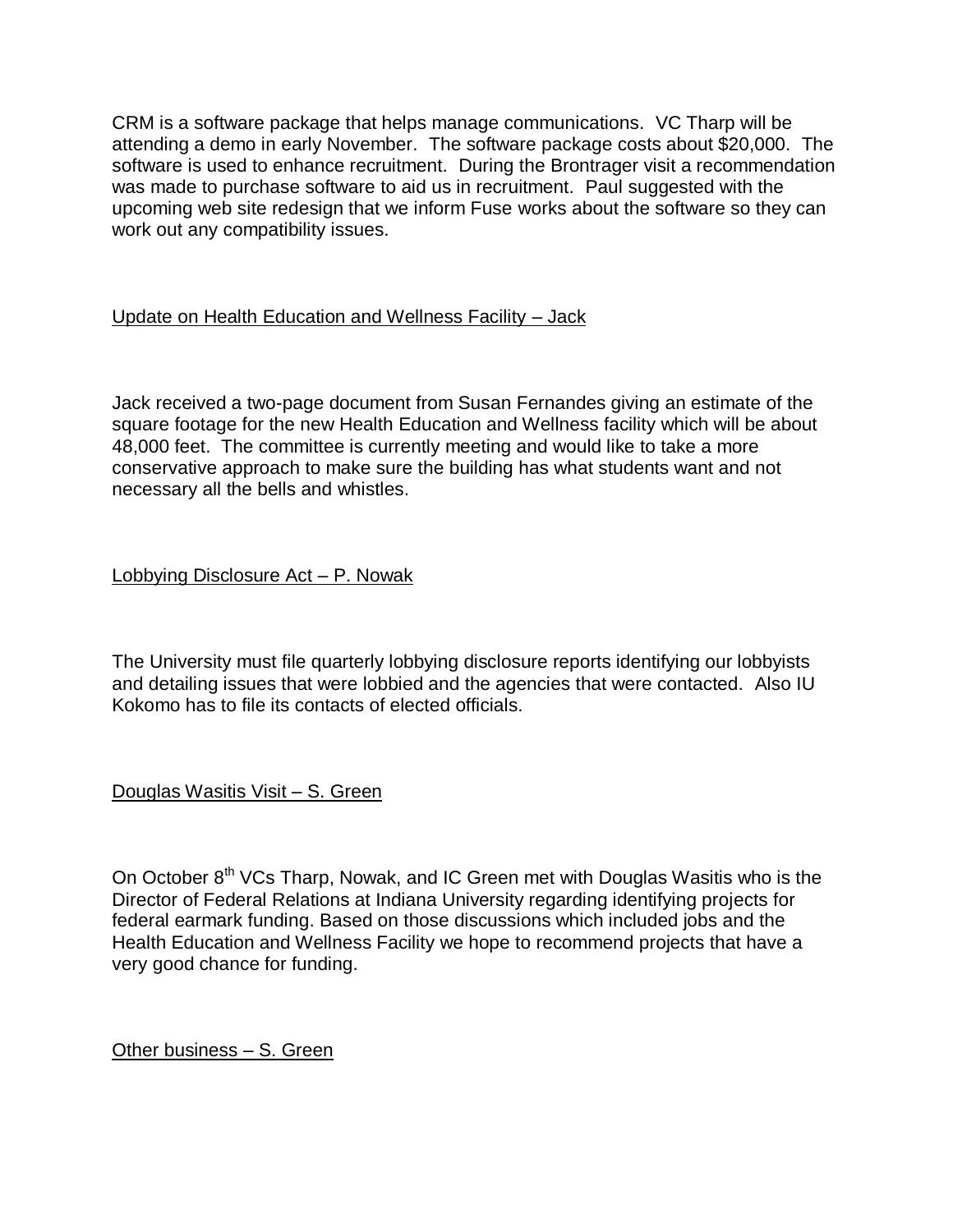CRM is a software package that helps manage communications. VC Tharp will be attending a demo in early November. The software package costs about \$20,000. The software is used to enhance recruitment. During the Brontrager visit a recommendation was made to purchase software to aid us in recruitment. Paul suggested with the upcoming web site redesign that we inform Fuse works about the software so they can work out any compatibility issues.

### Update on Health Education and Wellness Facility – Jack

Jack received a two-page document from Susan Fernandes giving an estimate of the square footage for the new Health Education and Wellness facility which will be about 48,000 feet. The committee is currently meeting and would like to take a more conservative approach to make sure the building has what students want and not necessary all the bells and whistles.

Lobbying Disclosure Act – P. Nowak

The University must file quarterly lobbying disclosure reports identifying our lobbyists and detailing issues that were lobbied and the agencies that were contacted. Also IU Kokomo has to file its contacts of elected officials.

Douglas Wasitis Visit – S. Green

On October 8<sup>th</sup> VCs Tharp, Nowak, and IC Green met with Douglas Wasitis who is the Director of Federal Relations at Indiana University regarding identifying projects for federal earmark funding. Based on those discussions which included jobs and the Health Education and Wellness Facility we hope to recommend projects that have a very good chance for funding.

Other business – S. Green